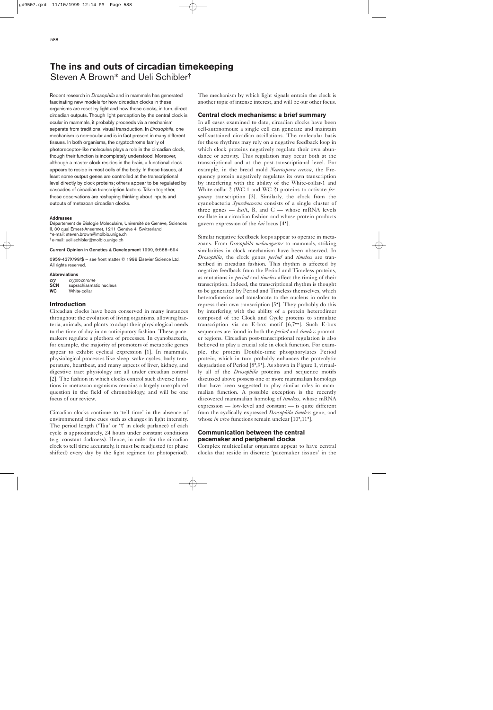# **The ins and outs of circadian timekeeping** Steven A Brown\* and Ueli Schibler†

Recent research in *Drosophila* and in mammals has generated fascinating new models for how circadian clocks in these organisms are reset by light and how these clocks, in turn, direct circadian outputs. Though light perception by the central clock is ocular in mammals, it probably proceeds via a mechanism separate from traditional visual transduction. In *Drosophila*, one mechanism is non-ocular and is in fact present in many different tissues. In both organisms, the cryptochrome family of photoreceptor-like molecules plays a role in the circadian clock, though their function is incompletely understood. Moreover, although a master clock resides in the brain, a functional clock appears to reside in most cells of the body. In these tissues, at least some output genes are controlled at the transcriptional level directly by clock proteins; others appear to be regulated by cascades of circadian transcription factors. Taken together, these observations are reshaping thinking about inputs and outputs of metazoan circadian clocks.

#### **Addresses**

Département de Biologie Moleculaire, Université de Genéve, Sciences II, 30 quai Ernest-Ansermet, 1211 Genéve 4, Switzerland \*e-mail: steven.brown@molbio.unige.ch †e-mail: ueli.schibler@molbio.unige.ch

## **Current Opinion in Genetics & Development** 1999, **9**:588–594

0959-437X/99/\$ — see front matter © 1999 Elsevier Science Ltd. All rights reserved.

#### **Abbreviations**

| cry        | cryptochrome            |
|------------|-------------------------|
| <b>SCN</b> | suprachiasmatic nucleus |
| <b>WC</b>  | White-collar            |

## **Introduction**

Circadian clocks have been conserved in many instances throughout the evolution of living organisms, allowing bacteria, animals, and plants to adapt their physiological needs to the time of day in an anticipatory fashion. These pacemakers regulate a plethora of processes. In cyanobacteria, for example, the majority of promoters of metabolic genes appear to exhibit cyclical expression [1]. In mammals, physiological processes like sleep–wake cycles, body temperature, heartbeat, and many aspects of liver, kidney, and digestive tract physiology are all under circadian control [2]. The fashion in which clocks control such diverse functions in metazoan organisms remains a largely unexplored question in the field of chronobiology, and will be one focus of our review.

Circadian clocks continue to 'tell time' in the absence of environmental time cues such as changes in light intensity. The period length ('Tau' or 'τ' in clock parlance) of each cycle is approximately, 24 hours under constant conditions (e.g. constant darkness). Hence, in order for the circadian clock to tell time accurately, it must be readjusted (or phase shifted) every day by the light regimen (or photoperiod).

The mechanism by which light signals entrain the clock is another topic of intense interest, and will be our other focus.

## **Central clock mechanisms: a brief summary**

In all cases examined to date, circadian clocks have been cell-autonomous: a single cell can generate and maintain self-sustained circadian oscillations. The molecular basis for these rhythms may rely on a negative feedback loop in which clock proteins negatively regulate their own abundance or activity. This regulation may occur both at the transcriptional and at the post-transcriptional level. For example, in the bread mold *Neurospora crassa*, the Frequency protein negatively regulates its own transcription by interfering with the ability of the White-collar-1 and White-collar-2 (WC-1 and WC-2) proteins to activate *frequency* transcription [3]. Similarly, the clock from the cyanobacteria *Synechococcus* consists of a single cluster of three genes  $-$  *kai*A, B, and C  $-$  whose mRNA levels oscillate in a circadian fashion and whose protein products govern expression of the *kai* locus [4•].

Similar negative feedback loops appear to operate in metazoans. From *Drosophila melanogaster* to mammals, striking similarities in clock mechanism have been observed. In *Drosophila*, the clock genes *period* and *timeless* are transcribed in circadian fashion. This rhythm is affected by negative feedback from the Period and Timeless proteins, as mutations in *period* and *timeless* affect the timing of their transcription. Indeed, the transcriptional rhythm is thought to be generated by Period and Timeless themselves, which heterodimerize and translocate to the nucleus in order to repress their own transcription [5•]. They probably do this by interfering with the ability of a protein heterodimer composed of the Clock and Cycle proteins to stimulate transcription via an E-box motif [6,7••]. Such E-box sequences are found in both the *period* and *timeless* promoter regions. Circadian post-transcriptional regulation is also believed to play a crucial role in clock function. For example, the protein Double-time phosphorylates Period protein, which in turn probably enhances the proteolytic degradation of Period [8•,9•]. As shown in Figure 1, virtually all of the *Drosophila* proteins and sequence motifs discussed above possess one or more mammalian homologs that have been suggested to play similar roles in mammalian function. A possible exception is the recently discovered mammalian homolog of *timeless*, whose mRNA expression — low-level and constant — is quite different from the cyclically expressed *Drosophila timeless* gene, and whose *in vivo* functions remain unclear [10<sup>•</sup>,11<sup>•</sup>].

# **Communication between the central pacemaker and peripheral clocks**

Complex multicellular organisms appear to have central clocks that reside in discrete 'pacemaker tissues' in the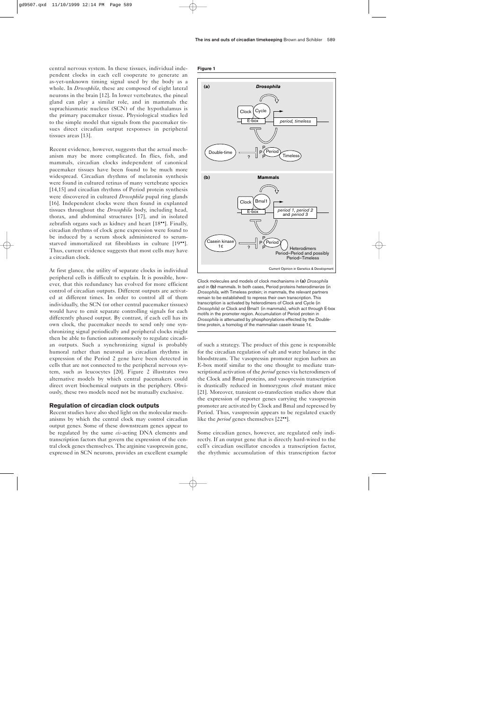central nervous system. In these tissues, individual independent clocks in each cell cooperate to generate an as-yet-unknown timing signal used by the body as a whole. In *Drosophila*, these are composed of eight lateral neurons in the brain [12]. In lower vertebrates, the pineal gland can play a similar role, and in mammals the suprachiasmatic nucleus (SCN) of the hypothalamus is the primary pacemaker tissue. Physiological studies led to the simple model that signals from the pacemaker tissues direct circadian output responses in peripheral tissues areas [13].

Recent evidence, however, suggests that the actual mechanism may be more complicated. In flies, fish, and mammals, circadian clocks independent of canonical pacemaker tissues have been found to be much more widespread. Circadian rhythms of melatonin synthesis were found in cultured retinas of many vertebrate species [14,15] and circadian rhythms of Period protein synthesis were discovered in cultured *Drosophila* pupal ring glands [16]. Independent clocks were then found in explanted tissues throughout the *Drosophila* body, including head, thorax, and abdominal structures [17], and in isolated zebrafish organs such as kidney and heart [18••]. Finally, circadian rhythms of clock gene expression were found to be induced by a serum shock administered to serumstarved immortalized rat fibroblasts in culture [19••]. Thus, current evidence suggests that most cells may have a circadian clock.

At first glance, the utility of separate clocks in individual peripheral cells is difficult to explain. It is possible, however, that this redundancy has evolved for more efficient control of circadian outputs. Different outputs are activated at different times. In order to control all of them individually, the SCN (or other central pacemaker tissues) would have to emit separate controlling signals for each differently phased output. By contrast, if each cell has its own clock, the pacemaker needs to send only one synchronizing signal periodically and peripheral clocks might then be able to function autonomously to regulate circadian outputs. Such a synchronizing signal is probably humoral rather than neuronal as circadian rhythms in expression of the Period 2 gene have been detected in cells that are not connected to the peripheral nervous system, such as leucocytes [20]. Figure 2 illustrates two alternative models by which central pacemakers could direct overt biochemical outputs in the periphery. Obviously, these two models need not be mutually exclusive.

## **Regulation of circadian clock outputs**

Recent studies have also shed light on the molecular mechanisms by which the central clock may control circadian output genes. Some of these downstream genes appear to be regulated by the same *cis*-acting DNA elements and transcription factors that govern the expression of the central clock genes themselves. The arginine vasopressin gene, expressed in SCN neurons, provides an excellent example

#### **Figure 1**



Clock molecules and models of clock mechanisms in **(a)** *Drosophila* and in **(b)** mammals. In both cases, Period proteins heterodimerize (in *Drosophila*, with Timeless protein; in mammals, the relevant partners remain to be established) to repress their own transcription. This transcription is activated by heterodimers of Clock and Cycle (in *Drosophila*) or Clock and Bmal1 (in mammals), which act through E-box motifs in the promoter region. Accumulation of Period protein in *Drosophila* is attenuated by phosphorylations effected by the Doubletime protein, a homolog of the mammalian casein kinase 1ε.

of such a strategy. The product of this gene is responsible for the circadian regulation of salt and water balance in the bloodstream. The vasopressin promoter region harbors an E-box motif similar to the one thought to mediate transcriptional activation of the *period* genes via heterodimers of the Clock and Bmal proteins, and vasopressin transcription is drastically reduced in homozygous *clock* mutant mice [21]. Moreover, transient co-transfection studies show that the expression of reporter genes carrying the vasopressin promoter are activated by Clock and Bmal and repressed by Period. Thus, vasopressin appears to be regulated exactly like the *period* genes themselves [22••].

Some circadian genes, however, are regulated only indirectly. If an output gene that is directly hard-wired to the cell's circadian oscillator encodes a transcription factor, the rhythmic accumulation of this transcription factor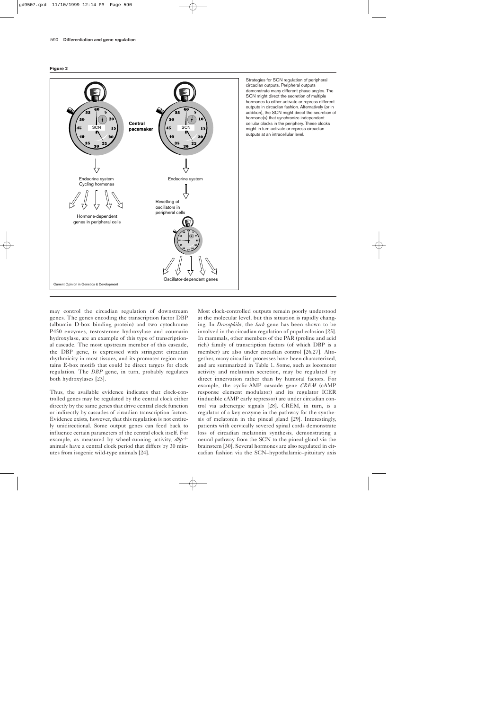



Strategies for SCN regulation of peripheral circadian outputs. Peripheral outputs demonstrate many different phase angles. The SCN might direct the secretion of multiple hormones to either activate or repress different outputs in circadian fashion. Alternatively (or in addition), the SCN might direct the secretion of hormone(s) that synchronize independent cellular clocks in the periphery. These clocks might in turn activate or repress circadian outputs at an intracellular level.

may control the circadian regulation of downstream genes. The genes encoding the transcription factor DBP (albumin D-box binding protein) and two cytochrome P450 enzymes, testosterone hydroxylase and coumarin hydroxylase, are an example of this type of transcriptional cascade. The most upstream member of this cascade, the DBP gene, is expressed with stringent circadian rhythmicity in most tissues, and its promoter region contains E-box motifs that could be direct targets for clock regulation. The *DBP* gene, in turn, probably regulates both hydroxylases [23].

Thus, the available evidence indicates that clock-controlled genes may be regulated by the central clock either directly by the same genes that drive central clock function or indirectly by cascades of circadian transcription factors. Evidence exists, however, that this regulation is not entirely unidirectional. Some output genes can feed back to influence certain parameters of the central clock itself. For example, as measured by wheel-running activity, *dbp–/–* animals have a central clock period that differs by 30 minutes from isogenic wild-type animals [24].

Most clock-controlled outputs remain poorly understood at the molecular level, but this situation is rapidly changing. In *Drosophila*, the *lark* gene has been shown to be involved in the circadian regulation of pupal eclosion [25]. In mammals, other members of the PAR (proline and acid rich) family of transcription factors (of which DBP is a member) are also under circadian control [26,27]. Altogether, many circadian processes have been characterized, and are summarized in Table 1. Some, such as locomotor activity and melatonin secretion, may be regulated by direct innervation rather than by humoral factors. For example, the cyclic-AMP cascade gene *CREM* (cAMP response element modulator) and its regulator ICER (inducible cAMP early repressor) are under circadian control via adrenergic signals [28]. CREM, in turn, is a regulator of a key enzyme in the pathway for the synthesis of melatonin in the pineal gland [29]. Interestingly, patients with cervically severed spinal cords demonstrate loss of circadian melatonin synthesis, demonstrating a neural pathway from the SCN to the pineal gland via the brainstem [30]. Several hormones are also regulated in circadian fashion via the SCN–hypothalamic–pituitary axis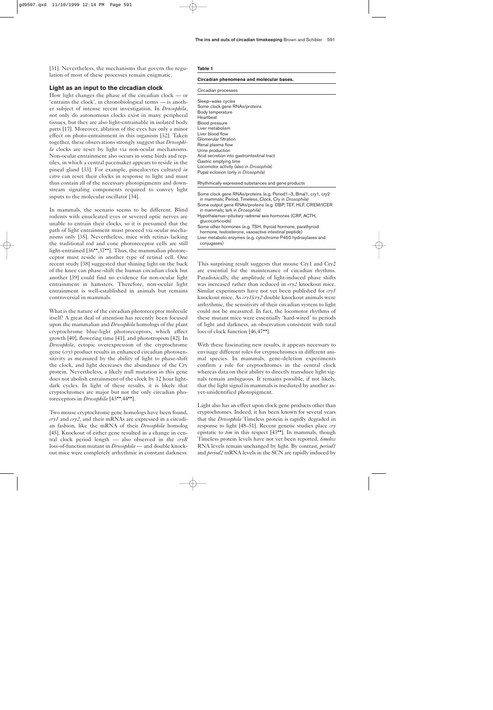[31]. Nevertheless, the mechanisms that govern the regulation of most of these processes remain enigmatic.

## **Light as an input to the circadian clock**

How light changes the phase of the circadian clock — or 'entrains the clock', in chronobiological terms — is another subject of intense recent investigation. In *Drosophila*, not only do autonomous clocks exist in many peripheral tissues, but they are also light-entrainable in isolated body parts [17]. Moreover, ablation of the eyes has only a minor effect on photo-entrainment in this organism [32]. Taken together, these observations strongly suggest that *Drosophila* clocks are reset by light via non-ocular mechanisms. Non-ocular entrainment also occurs in some birds and reptiles, in which a central pacemaker appears to reside in the pineal gland [33]. For example, pinealocytes cultured *in vitro* can reset their clocks in response to light and must thus contain all of the necessary photopigments and downstream signaling components required to convey light inputs to the molecular oscillator [34].

In mammals, the scenario seems to be different. Blind rodents with enucleated eyes or severed optic nerves are unable to entrain their clocks, so it is presumed that the path of light entrainment must proceed via ocular mechanisms only [35]. Nevertheless, mice with retinas lacking the traditional rod and cone photoreceptor cells are still light-entrained [36\*\*,37\*\*]. Thus, the mammalian photoreceptor must reside in another type of retinal cell. One recent study [38] suggested that shining light on the back of the knee can phase-shift the human circadian clock but another [39] could find no evidence for non-ocular light entrainment in hamsters. Therefore, non-ocular light entrainment is well-established in animals but remains controversial in mammals.

What is the nature of the circadian photoreceptor molecule itself? A great deal of attention has recently been focused upon the mammalian and *Drosophila* homologs of the plant cryptochrome blue-light photoreceptors, which affect growth [40], flowering time [41], and phototropism [42]. In *Drosophila*, ectopic overexpression of the cryptochrome gene (*cry*) product results in enhanced circadian photosensitivity as measured by the ability of light to phase-shift the clock, and light decreases the abundance of the Cry protein. Nevertheless, a likely null mutation in this gene does not abolish entrainment of the clock by 12 hour lightdark cycles. In light of these results, it is likely that cryptochromes are major but not the only circadian photoreceptors in *Drosophila* [43••,44••].

Two mouse cryptochrome gene homologs have been found, *cry1* and *cry2*, and their mRNAs are expressed in a circadian fashion, like the mRNA of their *Drosophila* homolog [45]. Knockout of either gene resulted in a change in central clock period length — also observed in the *cryB* loss-of-function mutant in *Drosophila* — and double knockout mice were completely arrhythmic in constant darkness.

#### **Table 1**

#### **Circadian phenomena and molecular bases.**

#### Circadian processes

Sleep–wake cycles Some clock gene RNAs/proteins Body temperature Heartbeat Blood pressure Liver metabolism Liver blood flow Glomerular filtration Renal plasma flow Urine production Acid secretion into gastrointestinal tract Gastric emptying time Locomotor activity (also in *Drosophila*) Pupal eclosion (only in *Drosophila*)

Rhythmically expressed substances and gene products

| Some clock gene RNAs/proteins (e.g. Period1-3, Bmal1, cry1, cry2<br>in mammals; Period, Timeless, Clock, Cry in Drosophila) |
|-----------------------------------------------------------------------------------------------------------------------------|
| Some output gene RNAs/proteins (e.g. DBP, TEF, HLF, CREM/ICER<br>in mammals; lark in Drosophila)                            |
| Hypothalamus-pituitary-adrenal axis hormones (CRF, ACTH,<br>qlucocorticoids)                                                |
| Some other hormones (e.g. TSH, thyroid hormone, parathyroid<br>hormone, testosterone, vasoactive intestinal peptide)        |
| Liver metabolic enzymes (e.g. cytochrome P450 hydroxylases and<br>conjugases)                                               |

This surprising result suggests that mouse Cry1 and Cry2 are essential for the maintenance of circadian rhythms. Paradoxically, the amplitude of light-induced phase shifts was increased rather than reduced in *cry2* knockout mice. Similar experiments have not yet been published for *cry1* knockout mice. As *cry1/cry2* double knockout animals were arrhythmic, the sensitivity of their circadian system to light could not be measured. In fact, the locomotor rhythms of these mutant mice were essentially 'hard-wired' to periods of light and darkness, an observation consistent with total loss of clock function [46,47••].

With these fascinating new results, it appears necessary to envisage different roles for cryptochromes in different animal species. In mammals, gene-deletion experiments confirm a role for cryptochromes in the central clock whereas data on their ability to directly transduce light signals remain ambiguous. It remains possible, if not likely, that the light signal in mammals is mediated by another asyet-unidentified photopigment.

Light also has an effect upon clock gene products other than cryptochromes. Indeed, it has been known for several years that the *Drosophila* Timeless protein is rapidly degraded in response to light [48–51]. Recent genetic studies place *cry* epistatic to *tim* in this respect [43••]. In mammals, though Timeless protein levels have not yet been reported, *timeless* RNA levels remain unchanged by light. By contrast, *period1* and *period2* mRNA levels in the SCN are rapidly induced by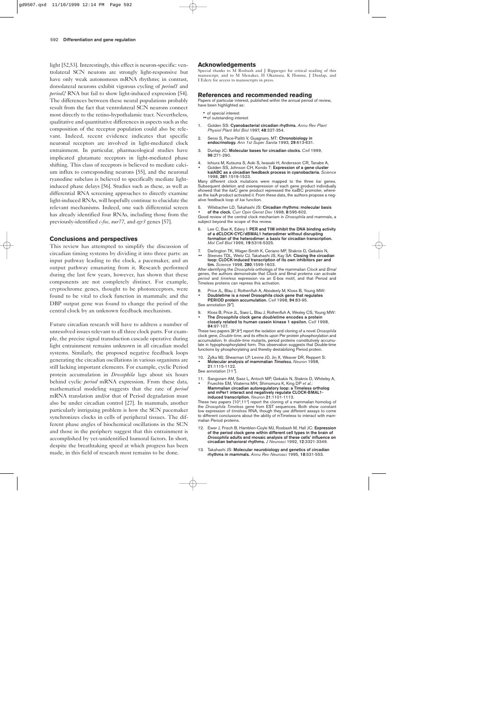light [52,53]. Interestingly, this effect is neuron-specific: ventrolateral SCN neurons are strongly light-responsive but have only weak autonomous mRNA rhythms; in contrast, dorsolateral neurons exhibit vigorous cycling of *period1* and *period2* RNA but fail to show light-induced expression [54]. The differences between these neural populations probably result from the fact that ventrolateral SCN neurons connect most directly to the retino-hypothalamic tract. Nevertheless, qualitative and quantitative differences in aspects such as the composition of the receptor population could also be relevant. Indeed, recent evidence indicates that specific neuronal receptors are involved in light-mediated clock entrainment. In particular, pharmacological studies have implicated glutamate receptors in light-mediated phase shifting. This class of receptors is believed to mediate calcium influx to corresponding neurons [55], and the neuronal ryanodine subclass is believed to specifically mediate lightinduced phase delays [56]. Studies such as these, as well as differential RNA screening approaches to directly examine light-induced RNAs, will hopefully continue to elucidate the relevant mechanisms. Indeed, one such differential screen has already identified four RNAs, including those from the previously-identified *c-fos*, *nur77*, and *egr3* genes [57].

#### **Conclusions and perspectives**

This review has attempted to simplify the discussion of circadian timing systems by dividing it into three parts: an input pathway leading to the clock, a pacemaker, and an output pathway emanating from it. Research performed during the last few years, however, has shown that these components are not completely distinct. For example, cryptochrome genes, thought to be photoreceptors, were found to be vital to clock function in mammals; and the DBP output gene was found to change the period of the central clock by an unknown feedback mechanism.

Future circadian research will have to address a number of unresolved issues relevant to all three clock parts. For example, the precise signal transduction cascade operative during light entrainment remains unknown in all circadian model systems. Similarly, the proposed negative feedback loops generating the circadian oscillations in various organisms are still lacking important elements. For example, cyclic Period protein accumulation in *Drosophila* lags about six hours behind cyclic *period* mRNA expression. From these data, mathematical modeling suggests that the rate of *period* mRNA translation and/or that of Period degradation must also be under circadian control [27]. In mammals, another particularly intriguing problem is how the SCN pacemaker synchronizes clocks in cells of peripheral tissues. The different phase angles of biochemical oscillations in the SCN and those in the periphery suggest that this entrainment is accomplished by yet-unidentified humoral factors. In short, despite the breathtaking speed at which progress has been made, in this field of research most remains to be done.

#### **Acknowledgements**

Special thanks to M Rosbash and I Ripperger for critical reading of this manuscript, and to M Menaker, H Okamura, K Honma, J Dunlap, and I Edery for access to manuscripts in press.

#### **References and recommended reading**

Papers of particular interest, published within the annual period of review, have been highlighted as:

- of special interest
- ••of outstanding interest
- 1. Golden SS: **Cyanobacterial circadian rhythms.** *Annu Rev Plant Physiol Plant Mol Biol* 1997, **48**:327-354.
- 2. Sensi S, Pace-Palitti V, Guagnaro, MT: **Chronobiology in endocrinology.** *Ann 1st Super Sanita* 1993, **29**:613-631.
- 3. Dunlap JC: **Molecular bases for circadian clocks.** *Cell* 1999, **96**:271-290.
- 4. Ishiura M, Kutsuna S, Aoki S, Iwasaki H, Andersson CR, Tanabe A,
- Golden SS, Johnson CH, Kondo T: **Expression of a gene cluster kaiABC as a circadian feedback process in cyanobacteria.** *Science* 1998, **281**:1519-1523.

Many different clock mutations were mapped to the three *kai* genes. Subsequent deletion and overexpression of each gene product individually showed that the *kai*C gene product repressed the *kai*BC promoter, whereas the *kai*A product activated it. From these data, the authors propose a negative feedback loop of *kai* function.

5. Wilsbacher LD, Takahashi JS: **Circadian rhythms: molecular basis** • **of the clock.** *Curr Opin Genet Dev* 1998, **8**:595-602.

Good review of the central clock mechanism in *Drosophila* and mammals, a subject beyond the scope of this review.

- 6. Lee C, Bae K, Edery I: **PER and TIM inhibit the DNA binding activity of a dCLOCK-CYC/dBMAL1 heterodimer without disrupting formation of the heterodimer: a basis for circadian transcription.** *Mol Cell Biol* 1999, **19**:5316-5325.
- 7. Darlington TK, Wager-Smith K, Ceriano MF, Staknis D, Gekakis N,
- •• Steeves TDL, Weitz CJ, Takahashi JS, Kay SA: **Closing the circadian loop: CLOCK-induced transcription of its own inhibitors per and tim.** *Science* 1998, **280**:1599-1603.

After identifying the *Drosophila* orthologs of the mammalian *Clock* and *Bmal* genes, the authors demonstrate that Clock and Bmal proteins can activate *period* and *timeless* expression via an E-box motif, and that Period and Timeless proteins can repress this activation.

- 8. Price JL, Blau J, Rothenfluh A, Abodeely M, Kloss B, Young MW: • **Doubletime is a novel Drosophila clock gene that regulates**
- **PERIOD protein accumulation.** *Cell* 1998, **94**:83-95. See annotation [9•].

- 9. Kloss B, Price JL, Saez L, Blau J, Rothenfluh A, Wesley CS, Young MW:
- **The** *Drosophila* **clock gene** *doubletime* **encodes a protein closely related to human casein kinase 1 epsilon.** *Cell* 1998, **94**:97-107.

These two papers [8•,9•] report the isolation and cloning of a novel *Drosophila* clock gene, *Double-time*, and its effects upon Per protein phosphorylation and accumulation. In *double-time* mutants, period proteins constitutively accumulate in hypophosphorylated form. This observation suggests that Double-time functions by phosphorylating and thereby destabilizing Period protein.

- 10. Zylka MJ, Shearman LP, Levine JD, Jin X, Weaver DR, Reppert S: • **Molecular analysis of mammalian** *Timeless***.** *Neuron* 1998,
- **21**:1115-1122.

See annotation [11<sup>•]</sup>.

- 11. Sangoram AM, Saez L, Antoch MP, Gekakis N, Staknis D, Whiteley A, • Fruechte EM, Vitaterna MH, Shimomura K, King DP *et al.*:
- **Mammalian circadian autoregulatory loop: a Timeless ortholog and mPer1 interact and negatively regulate CLOCK-BMAL1 induced transcription.** *Neuron* **21**:1101-1113.

These two papers [10°,11°] report the cloning of a mammalian homolog of the *Drosophila Timeless* gene from EST sequences. Both show constant low expression of *timeless* RNA, though they use different assays to come to different conclusions about the ability of mTimeless to interact with mammalian Period proteins.

- 12. Ewer J, Frisch B, Hamblen-Coyle MJ, Rosbash M, Hall JC: **Expression of the period clock gene within different cell types in the brain of** *Drosophila* **adults and mosaic analysis of these cells' influence on circadian behavioral rhythms.** *J Neurosci* 1992, **12**:3321-3349.
- 13. Takahashi JS: **Molecular neurobiology and genetics of circadian rhythms in mammals.** *Annu Rev Neurosci* 1995, **18**:531-553.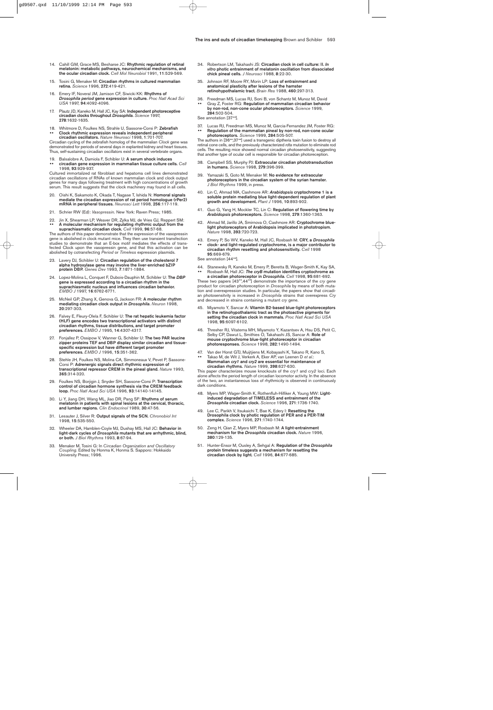- 14. Cahill GM, Grace MS, Besharse JC: **Rhythmic regulation of retinal melatonin: metabolic pathways, neurochemical mechanisms, and the ocular circadian clock.** *Cell Mol Neurobiol* 1991, **11**:529-569.
- 15. Tosini G, Menaker M: **Circadian rhythms in cultured mammalian retina.** *Science* 1996, **272**:419-421.
- 16. Emery IF, Noveral JM, Jamison CF, Siwicki KK: **Rhythms of** *Drosophila period* **gene expression in culture.** *Proc Natl Acad Sci USA* 1997, **94**:4092-4096.
- 17. Plautz JD, Kaneko M, Hall JC, Kay SA: **Independent photoreceptive circadian clocks throughout** *Drosophila***.** *Science* 1997, **278**:1632-1635.
- 18. Whitmore D, Foulkes NS, Strahle U, Sassone-Corsi P: **Zebrafish** •• **Clock rhythmic expression reveals independent peripheral circadian oscillators.** *Nature Neurosci* 1998, **1**:701-707.

Circadian cycling of the zebrafish homolog of the mammalian *Clock* gene was demonstrated for periods of several days in explanted kidney and heart tissues. Thus, self-sustaining circadian oscillators exist in several vertebrate organs.

19. Balsalobre A, Damiola F, Schibler U: **A serum shock induces** •• **circadian gene expression in mammalian tissue culture cells.** *Cell* 1998, **93**:929-937.

Cultured immortalized rat fibroblast and hepatoma cell lines demonstrated circadian oscillations of RNAs of known mammalian clock and clock output genes for many days following treatment with high concentrations of growth serum. This result suggests that the clock machinery may found in all cells.

- 20. Oishi K, Sakamoto K, Okada T, Nagase T, Ishida N: **Homoral signals mediate the circadian expression of rat period homologue (rPer2) mRNA in peripheral tissues.** *Neurosci Lett* 1998, **256**:117-119.
- 21. Schrier RW (Ed): *Vasopressin.* New York: Raven Press; 1985.
- 22. Jin X, Shearman LP, Weaver DR, Zylka MJ, de Vries GJ, Reppert SM: •• **A molecular mechanism for regulating rhythmic output from the suprachiasmatic circadian clock.** *Cell* 1999, **96**:57-68.

The authors of this paper demonstrate that the expression of the vasopressin gene is abolished in clock mutant mice. They then use transient transfection studies to demonstrate that an E-box motif mediates the effects of transfected Clock upon the vasopressin gene, and that this activation can be abolished by cotransfecting *Period* or *Timeless* expression plasmids.

- 23. Lavery DJ, Schibler U: **Circadian regulation of the cholesterol 7 alpha hydroxylase gene may involve the liver-enriched bZIP protein DBP.** *Genes Dev* 1993, **7**:1871-1884.
- 24. Lopez-Molina L, Conquet F, Dubois-Dauphin M, Schibler U: **The** *DBP* **gene is expressed according to a circadian rhythm in the suprachiasmatic nucleus and influences circadian behavior.** *EMBO J* 1997, **16**:6762-6771.
- 25. McNeil GP, Zhang X, Genova G, Jackson FR: **A molecular rhythm mediating circadian clock output in** *Drosophila***.** *Neuron* 1998, **20**:297-303.
- 26. Falvey E, Fleury-Olela F, Schibler U: **The rat hepatic leukemia factor (HLF) gene encodes two transcriptional activators with distinct circadian rhythms, tissue distributions, and target promoter preferences.** *EMBO J* 1995, **14**:4307-4317.
- 27. Fonjallez P, Ossipow V, Wanner G, Schibler U: **The two PAR leucine zipper proteins TEF and DBP display similar circadian and tissuespecific expression but have different target promoter preferences.** *EMBO J* 1996, **15**:351-362.
- 28. Stehle JH, Foulkes NS, Molina CA, Simmoneaux V, Pevet P, Sassone-Corsi P: **Adrenergic signals direct rhythmic expression of transcriptional repressor CREM in the pineal gland.** *Nature* 1993, **365**:314-320.
- 29. Foulkes NS, Borjigin J, Snyder SH, Sassone-Corsi P: **Transcription control of circadian hormone synthesis via the CREM feedback loop.** *Proc Natl Acad Sci USA* 1996, **93**:14140-14145.
- 30. Li Y, Jiang DH, Wang ML, Jiao DR, Pang SF: **Rhythms of serum melatonin in patients with spinal lesions at the cervical, thoracic, and lumbar regions.** *Clin Endocrinol* 1989, **30**:47-56.
- 31. Lesauter J, Silver R: **Output signals of the SCN.** *Chronobiol Int* 1998, **15**:535-550.
- 32. Wheeler DA, Hamblen-Coyle MJ, Dushay MS, Hall JC: **Behavior in light-dark cycles of** *Drosophila* **mutants that are arrhythmic, blind, or both.** *J Biol Rhythms* 1993, **8**:67-94.
- 33. Menaker M, Tosini G: In *Circadian Organization and Oscillatory Coupling*. Edited by Honma K, Honma S. Sapporo: Hokkaido University Press; 1996.
- 34. Robertson LM, Takahashi JS: **Circadian clock in cell culture: II.** *In vitro* **photic entrainment of melatonin oscillation from dissociated chick pineal cells.** *J Neurosci* 1988, **8**:22-30.
- 35. Johnson RF, Moore RY, Morin LP: **Loss of entrainment and anatomical plasticity after lesions of the hamster retinohypothalamic tract.** *Brain Res* 1988, **460**:297-313.
- 36. Freedman MS, Lucas RJ, Soni B, von Schantz M, Munoz M, David •• Gray Z, Foster RG: **Regulation of mammalian circadian behavior by non-rod, non-cone ocular photoreceptors.** *Science* 1999, **284**:502-504.

See annotation [37\*\*].

37. Lucas RJ, Freedman MS, Munoz M, Garcia-Fernandez JM, Foster RG: •• **Regulation of the mammalian pineal by non-rod, non-cone ocular photoreceptors***. Science* 1999, **284**:505-507.

The authors in [36••,37••] used a transgenic diptheria toxin fusion to destroy all retinal cone cells, and the previously characterized *rdta* mutation to eliminate rod cells. The resulting mice showed normal circadian photosensitivity, suggesting that another type of ocular cell is responsible for circadian photoreception.

- 38. Campbell SS, Murphy PJ: **Extraocular circadian phototransduction in humans.** *Science* 1998, **279**:396-399.
- 39. Yamazaki S, Goto M, Menaker M: **No evidence for extraocular photoreceptors in the circadian system of the syrian hamster.** *J Biol Rhythms* 1999, in press.
- 40. Lin C, Ahmad MA, Cashmore AR: *Arabidopsis* **cryptochrome 1 is a soluble protein mediating blue light-dependent regulation of plant growth and development.** *Plant J* 1996, **10**:893-902.
- 41. Guo G, Yang H, Mockler TC, Lin C: **Regulation of flowering time by** *Arabidopsis* **photoreceptors.** *Science* 1998, **279**:1360-1363.
- 42. Ahmad M, Jarillo JA, Smirnova O, Cashmore AR: **Cryptochrome bluelight photoreceptors of Arabidopsis implicated in phototropism.** *Nature* 1998, **393**:720-723.
- 43. Emery P, So WV, Kaneko M, Hall JC, Rosbash M: **CRY, a** *Drosophila*
- •• **clock- and light-regulated cryptochrome, is a major contributor to circadian rhythm resetting and photosensitivity.** *Cell* 1998 **95**:669-679.

See annotation [44••].

44. Stanewsky R, Kaneko M, Emery P, Beretta B, Wager-Smith K, Kay SA, •• Rosbash M, Hall JC: *The cryB* **mutation identifies cryptochrome as a circadian photoreceptor in** *Drosophila***.** *Cell* 1998, **95**:681-692.

These two papers [43••,44••] demonstrate the importance of the *cry* gene product for circadian photoreception in *Drosophila* by means of both mutation and overexpression studies. In particular, the papers show that circadian photosensitvity is increased in *Drosophila* strains that overexpress *Cry* and decreased in strains containing a mutant *cry* gene.

- 45. Miyamoto Y, Sancar A: **Vitamin B2-based blue-light photoreceptors in the retinohypothalamic tract as the photoactive pigments for setting the circadian clock in mammals.** *Proc Natl Acad Sci USA* 1998, **95**:6097-6102.
- 46. Thresher RJ, Vitaterna MH, Miyamoto Y, Kazantsev A, Hsu DS, Petit C, Selby CP, Dawut L, Smithies O, Takahashi JS, Sancar A: **Role of mouse cryptochrome blue-light photoreceptor in circadian photoresponses.** *Science* 1998, **282**:1490-1494.
- 47. Van der Horst GTJ, Muijtjiens M, Kobayashi K, Takano R, Kano S, •• Takao M, de Wit J, Verkerk A, Eker AP, van Leenen D *et al.*: **Mammalian** *cry1* **and** *cry2* **are essential for maintenance of circadian rhythms.** *Nature* 1999, **398**:627-630.

This paper characterizes mouse knockouts of the *cry1* and *cry2* loci. Each alone affects the period length of circadian locomotor activity. In the absence of the two, an instantaneous loss of rhythmicity is observed in continuously dark conditions.

- 48. Myers MP, Wager-Smith K, Rothenfluh-Hilfiker A, Young MW: **Lightinduced degradation of TIMELESS and entrainment of the** *Drosophila* **circadian clock.** *Science* 1996, **271**:1736-1740.
- 49. Lee C, Parikh V, Itsukaichi T, Bae K, Edery I: **Resetting the Drosophila clock by photic regulation of PER and a PER-TIM complex.** *Science* 1996, **271**:1740-1744.
- 50. Zeng H, Qian Z, Myers MP, Rosbash M: **A light-entrainment mechanism for the** *Drosophila* **circadian clock.** *Nature* 1996, **380**:129-135.
- 51. Hunter-Ensor M, Ousley A, Sehgal A: **Regulation of the** *Drosophila* **protein timeless suggests a mechanism for resetting the circadian clock by light.** *Cell* 1996, **84**:677-685.